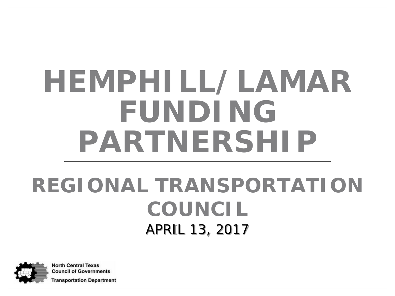# **HEMPHILL/LAMAR FUNDING PARTNERSHIP**

#### **REGIONAL TRANSPORTATION COUNCIL** APRIL 13, 2017



**North Central Texas Council of Governments** 

**Fransportation Department**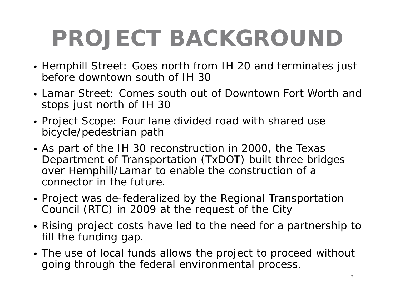# **PROJECT BACKGROUND**

- Hemphill Street: Goes north from IH 20 and terminates just before downtown south of IH 30
- Lamar Street: Comes south out of Downtown Fort Worth and stops just north of IH 30
- Project Scope: Four lane divided road with shared use bicycle/pedestrian path
- As part of the IH 30 reconstruction in 2000, the Texas Department of Transportation (TxDOT) built three bridges over Hemphill/Lamar to enable the construction of a connector in the future.
- Project was de-federalized by the Regional Transportation Council (RTC) in 2009 at the request of the City
- Rising project costs have led to the need for a partnership to fill the funding gap.
- The use of local funds allows the project to proceed without going through the federal environmental process.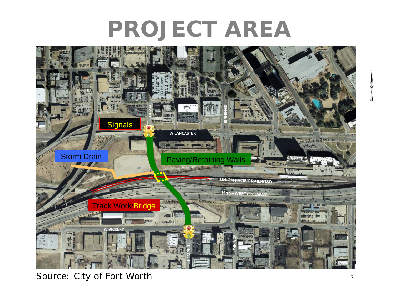### **PROJECT AREA**



Source: City of Fort Worth <sup>3</sup>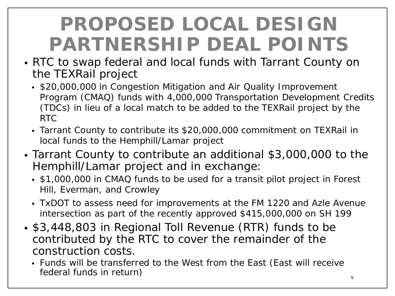#### **PROPOSED LOCAL DESIGN PARTNERSHIP DEAL POINTS**

- RTC to swap federal and local funds with Tarrant County on the TEXRail project
	- \$20,000,000 in Congestion Mitigation and Air Quality Improvement Program (CMAQ) funds with 4,000,000 Transportation Development Credits (TDCs) in lieu of a local match to be added to the TEXRail project by the RTC
	- Tarrant County to contribute its \$20,000,000 commitment on TEXRail in local funds to the Hemphill/Lamar project
- Tarrant County to contribute an additional \$3,000,000 to the Hemphill/Lamar project and in exchange:
	- \$1,000,000 in CMAQ funds to be used for a transit pilot project in Forest Hill, Everman, and Crowley
	- TxDOT to assess need for improvements at the FM 1220 and Azle Avenue intersection as part of the recently approved \$415,000,000 on SH 199
- \$3,448,803 in Regional Toll Revenue (RTR) funds to be contributed by the RTC to cover the remainder of the construction costs.
	- Funds will be transferred to the West from the East (East will receive federal funds in return) and the set of the set of the set of the set of the set of the set of the set of the set of the set of the set of the set of the set of the set of the set of the set of the set of the set of the se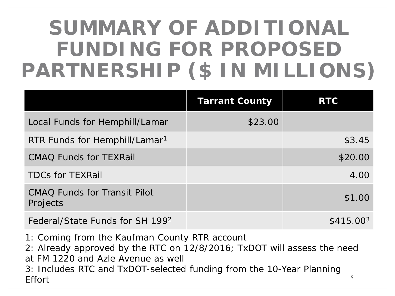### **SUMMARY OF ADDITIONAL FUNDING FOR PROPOSED PARTNERSHIP (\$ IN MILLIONS)**

|                                                 | <b>Tarrant County</b> | <b>RTC</b>            |
|-------------------------------------------------|-----------------------|-----------------------|
| Local Funds for Hemphill/Lamar                  | \$23.00               |                       |
| RTR Funds for Hemphill/Lamar <sup>1</sup>       |                       | \$3.45                |
| <b>CMAQ Funds for TEXRail</b>                   |                       | \$20.00               |
| <b>TDCs for TEXRail</b>                         |                       | 4.00                  |
| <b>CMAQ Funds for Transit Pilot</b><br>Projects |                       | \$1.00                |
| Federal/State Funds for SH 1992                 |                       | \$415.00 <sup>3</sup> |

- 1: Coming from the Kaufman County RTR account
- 2: Already approved by the RTC on 12/8/2016; TxDOT will assess the need

5

at FM 1220 and Azle Avenue as well

3: Includes RTC and TxDOT-selected funding from the 10-Year Planning Effort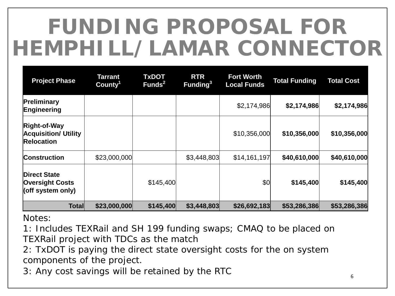# **FUNDING PROPOSAL FOR HEMPHILL/LAMAR CONNECTOR**

| <b>Project Phase</b>                                               | Tarrant<br>County <sup>1</sup> | <b>TxDOT</b><br>Funds <sup>2</sup> | <b>RTR</b><br>Funding <sup>3</sup> | <b>Fort Worth</b><br><b>Local Funds</b> | <b>Total Funding</b> | <b>Total Cost</b> |
|--------------------------------------------------------------------|--------------------------------|------------------------------------|------------------------------------|-----------------------------------------|----------------------|-------------------|
| Preliminary<br>Engineering                                         |                                |                                    |                                    | \$2,174,986                             | \$2,174,986          | \$2,174,986       |
| Right-of-Way<br><b>Acquisition/ Utility</b><br><b>Relocation</b>   |                                |                                    |                                    | \$10,356,000                            | \$10,356,000         | \$10,356,000      |
| <b>Construction</b>                                                | \$23,000,000                   |                                    | \$3,448,803                        | \$14,161,197                            | \$40,610,000         | \$40,610,000      |
| <b>Direct State</b><br><b>Oversight Costs</b><br>(off system only) |                                | \$145,400                          |                                    | \$0                                     | \$145,400            | \$145,400         |
| <b>Total</b>                                                       | \$23,000,000                   | \$145,400                          | \$3,448,803                        | \$26,692,183                            | \$53,286,386         | \$53,286,386      |

Notes:

1: Includes TEXRail and SH 199 funding swaps; CMAQ to be placed on TEXRail project with TDCs as the match

2: TxDOT is paying the direct state oversight costs for the on system components of the project.

3: Any cost savings will be retained by the RTC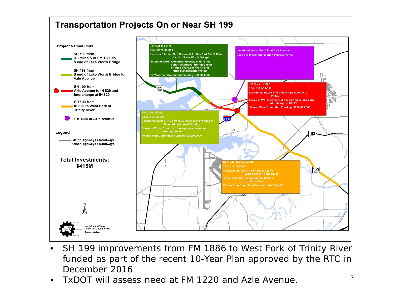

- SH 199 improvements from FM 1886 to West Fork of Trinity River funded as part of the recent 10-Year Plan approved by the RTC in December 2016
- TxDOT will assess need at FM 1220 and Azle Avenue.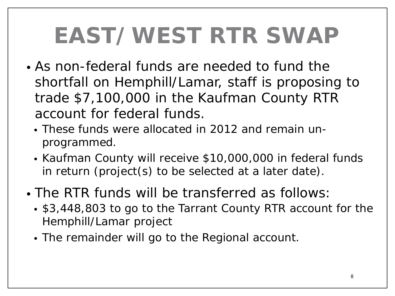# **EAST/WEST RTR SWAP**

- As non-federal funds are needed to fund the shortfall on Hemphill/Lamar, staff is proposing to trade \$7,100,000 in the Kaufman County RTR account for federal funds.
	- These funds were allocated in 2012 and remain unprogrammed.
	- Kaufman County will receive \$10,000,000 in federal funds in return (project(s) to be selected at a later date).
- The RTR funds will be transferred as follows:
	- \$3,448,803 to go to the Tarrant County RTR account for the Hemphill/Lamar project
	- The remainder will go to the Regional account.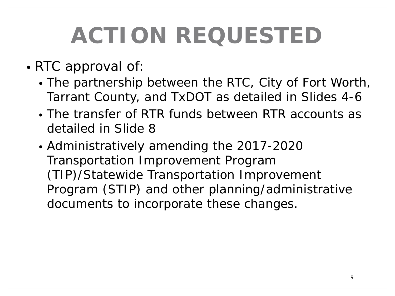# **ACTION REQUESTED**

- RTC approval of:
	- The partnership between the RTC, City of Fort Worth, Tarrant County, and TxDOT as detailed in Slides 4-6
	- The transfer of RTR funds between RTR accounts as detailed in Slide 8
	- Administratively amending the 2017-2020 Transportation Improvement Program (TIP)/Statewide Transportation Improvement Program (STIP) and other planning/administrative documents to incorporate these changes.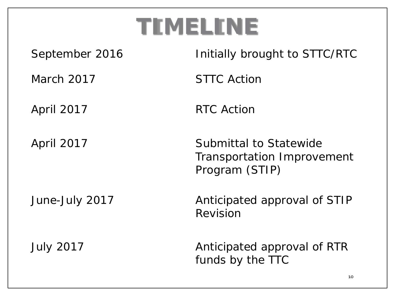## **TIMELINE**

| September 2016    | Initially brought to STTC/RTC                                          |
|-------------------|------------------------------------------------------------------------|
| March 2017        | <b>STTC Action</b>                                                     |
| <b>April 2017</b> | <b>RTC Action</b>                                                      |
| <b>April 2017</b> | Submittal to Statewide<br>Transportation Improvement<br>Program (STIP) |
| June-July 2017    | Anticipated approval of STIP<br>Revision                               |
| <b>July 2017</b>  | Anticipated approval of RTR<br>funds by the TTC                        |